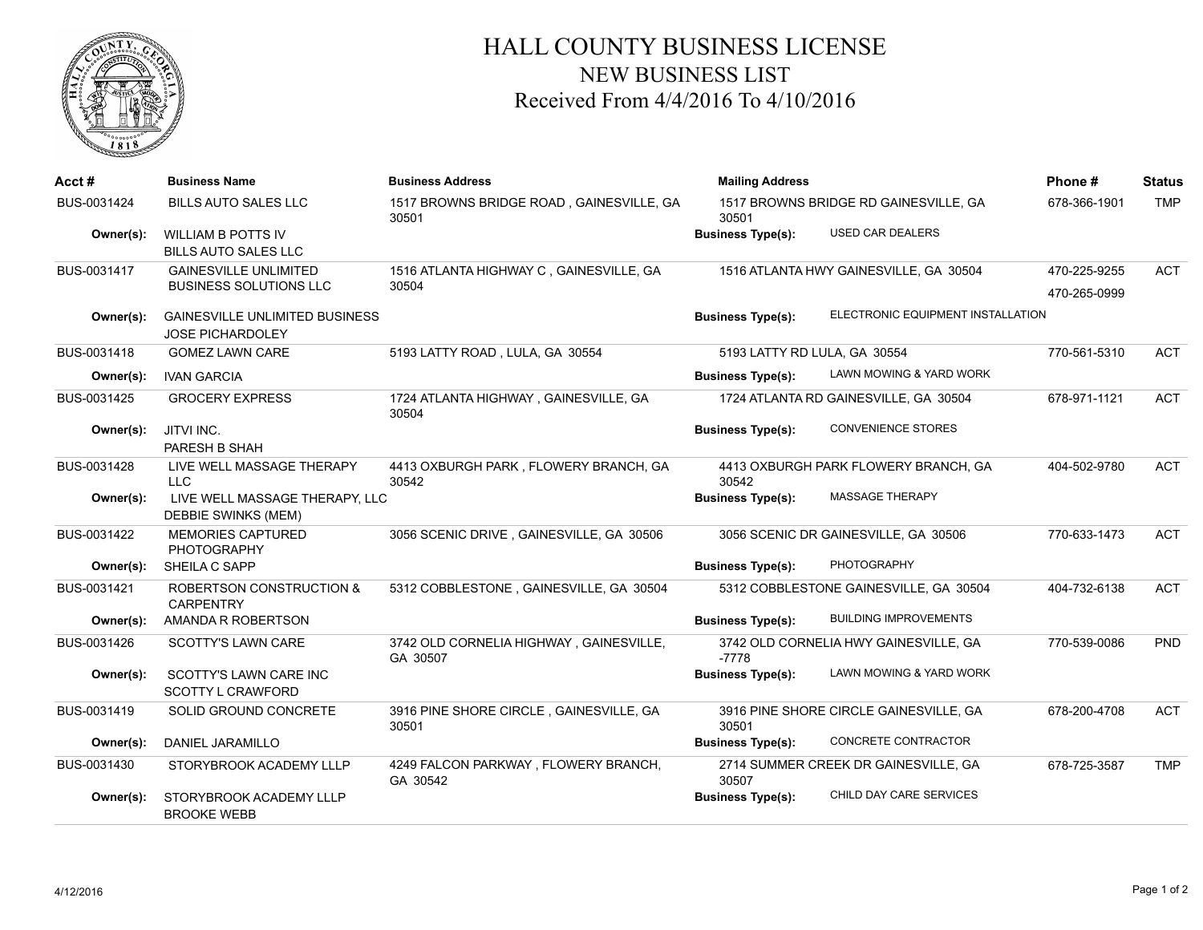

## HALL COUNTY BUSINESS LICENSE NEW BUSINESS LIST Received From 4/4/2016 To 4/10/2016

| Acct#       | <b>Business Name</b>                                             | <b>Business Address</b>                             | <b>Mailing Address</b>       |                                        | Phone#                       | <b>Status</b> |
|-------------|------------------------------------------------------------------|-----------------------------------------------------|------------------------------|----------------------------------------|------------------------------|---------------|
| BUS-0031424 | <b>BILLS AUTO SALES LLC</b>                                      | 1517 BROWNS BRIDGE ROAD, GAINESVILLE, GA<br>30501   | 30501                        | 1517 BROWNS BRIDGE RD GAINESVILLE, GA  | 678-366-1901                 | <b>TMP</b>    |
| Owner(s):   | <b>WILLIAM B POTTS IV</b><br>BILLS AUTO SALES LLC                |                                                     | <b>Business Type(s):</b>     | <b>USED CAR DEALERS</b>                |                              |               |
| BUS-0031417 | <b>GAINESVILLE UNLIMITED</b><br><b>BUSINESS SOLUTIONS LLC</b>    | 1516 ATLANTA HIGHWAY C, GAINESVILLE, GA<br>30504    |                              | 1516 ATLANTA HWY GAINESVILLE, GA 30504 | 470-225-9255<br>470-265-0999 | <b>ACT</b>    |
| Owner(s):   | <b>GAINESVILLE UNLIMITED BUSINESS</b><br><b>JOSE PICHARDOLEY</b> |                                                     | <b>Business Type(s):</b>     | ELECTRONIC EQUIPMENT INSTALLATION      |                              |               |
| BUS-0031418 | <b>GOMEZ LAWN CARE</b>                                           | 5193 LATTY ROAD, LULA, GA 30554                     | 5193 LATTY RD LULA, GA 30554 |                                        | 770-561-5310                 | <b>ACT</b>    |
| Owner(s):   | <b>IVAN GARCIA</b>                                               |                                                     | <b>Business Type(s):</b>     | LAWN MOWING & YARD WORK                |                              |               |
| BUS-0031425 | <b>GROCERY EXPRESS</b>                                           | 1724 ATLANTA HIGHWAY, GAINESVILLE, GA<br>30504      |                              | 1724 ATLANTA RD GAINESVILLE, GA 30504  | 678-971-1121                 | <b>ACT</b>    |
| Owner(s):   | JITVI INC.<br>PARESH B SHAH                                      |                                                     | <b>Business Type(s):</b>     | <b>CONVENIENCE STORES</b>              |                              |               |
| BUS-0031428 | LIVE WELL MASSAGE THERAPY<br>LLC                                 | 4413 OXBURGH PARK, FLOWERY BRANCH, GA<br>30542      | 30542                        | 4413 OXBURGH PARK FLOWERY BRANCH, GA   | 404-502-9780                 | <b>ACT</b>    |
| Owner(s):   | LIVE WELL MASSAGE THERAPY, LLC<br>DEBBIE SWINKS (MEM)            |                                                     | <b>Business Type(s):</b>     | MASSAGE THERAPY                        |                              |               |
| BUS-0031422 | <b>MEMORIES CAPTURED</b><br><b>PHOTOGRAPHY</b>                   | 3056 SCENIC DRIVE, GAINESVILLE, GA 30506            |                              | 3056 SCENIC DR GAINESVILLE, GA 30506   | 770-633-1473                 | <b>ACT</b>    |
| Owner(s):   | SHEILA C SAPP                                                    |                                                     | <b>Business Type(s):</b>     | <b>PHOTOGRAPHY</b>                     |                              |               |
| BUS-0031421 | <b>ROBERTSON CONSTRUCTION &amp;</b><br><b>CARPENTRY</b>          | 5312 COBBLESTONE, GAINESVILLE, GA 30504             |                              | 5312 COBBLESTONE GAINESVILLE, GA 30504 | 404-732-6138                 | <b>ACT</b>    |
| Owner(s):   | AMANDA R ROBERTSON                                               |                                                     | <b>Business Type(s):</b>     | <b>BUILDING IMPROVEMENTS</b>           |                              |               |
| BUS-0031426 | <b>SCOTTY'S LAWN CARE</b>                                        | 3742 OLD CORNELIA HIGHWAY, GAINESVILLE,<br>GA 30507 | -7778                        | 3742 OLD CORNELIA HWY GAINESVILLE, GA  | 770-539-0086                 | <b>PND</b>    |
| Owner(s):   | SCOTTY'S LAWN CARE INC<br><b>SCOTTY L CRAWFORD</b>               |                                                     | <b>Business Type(s):</b>     | LAWN MOWING & YARD WORK                |                              |               |
| BUS-0031419 | SOLID GROUND CONCRETE                                            | 3916 PINE SHORE CIRCLE, GAINESVILLE, GA<br>30501    | 30501                        | 3916 PINE SHORE CIRCLE GAINESVILLE, GA | 678-200-4708                 | <b>ACT</b>    |
| Owner(s):   | DANIEL JARAMILLO                                                 |                                                     | <b>Business Type(s):</b>     | CONCRETE CONTRACTOR                    |                              |               |
| BUS-0031430 | STORYBROOK ACADEMY LLLP                                          | 4249 FALCON PARKWAY, FLOWERY BRANCH,<br>GA 30542    | 30507                        | 2714 SUMMER CREEK DR GAINESVILLE, GA   | 678-725-3587                 | <b>TMP</b>    |
| Owner(s):   | STORYBROOK ACADEMY LLLP<br><b>BROOKE WEBB</b>                    |                                                     | <b>Business Type(s):</b>     | CHILD DAY CARE SERVICES                |                              |               |